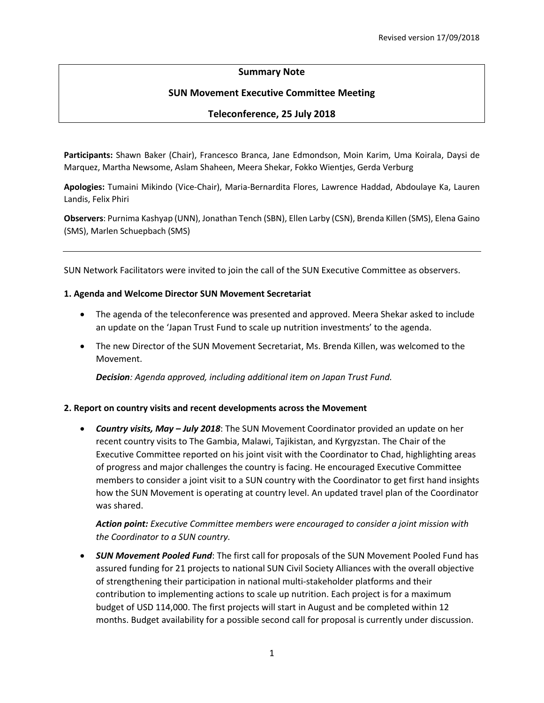# **Summary Note**

# **SUN Movement Executive Committee Meeting**

## **Teleconference, 25 July 2018**

**Participants:** Shawn Baker (Chair), Francesco Branca, Jane Edmondson, Moin Karim, Uma Koirala, Daysi de Marquez, Martha Newsome, Aslam Shaheen, Meera Shekar, Fokko Wientjes, Gerda Verburg

**Apologies:** Tumaini Mikindo (Vice-Chair), Maria-Bernardita Flores, Lawrence Haddad, Abdoulaye Ka, Lauren Landis, Felix Phiri

**Observers**: Purnima Kashyap (UNN), Jonathan Tench (SBN), Ellen Larby (CSN), Brenda Killen (SMS), Elena Gaino (SMS), Marlen Schuepbach (SMS)

SUN Network Facilitators were invited to join the call of the SUN Executive Committee as observers.

#### **1. Agenda and Welcome Director SUN Movement Secretariat**

- The agenda of the teleconference was presented and approved. Meera Shekar asked to include an update on the 'Japan Trust Fund to scale up nutrition investments' to the agenda.
- The new Director of the SUN Movement Secretariat, Ms. Brenda Killen, was welcomed to the Movement.

*Decision: Agenda approved, including additional item on Japan Trust Fund.* 

## **2. Report on country visits and recent developments across the Movement**

• *Country visits, May – July 2018*: The SUN Movement Coordinator provided an update on her recent country visits to The Gambia, Malawi, Tajikistan, and Kyrgyzstan. The Chair of the Executive Committee reported on his joint visit with the Coordinator to Chad, highlighting areas of progress and major challenges the country is facing. He encouraged Executive Committee members to consider a joint visit to a SUN country with the Coordinator to get first hand insights how the SUN Movement is operating at country level. An updated travel plan of the Coordinator was shared.

*Action point: Executive Committee members were encouraged to consider a joint mission with the Coordinator to a SUN country.*

• *SUN Movement Pooled Fund*: The first call for proposals of the SUN Movement Pooled Fund has assured funding for 21 projects to national SUN Civil Society Alliances with the overall objective of strengthening their participation in national multi-stakeholder platforms and their contribution to implementing actions to scale up nutrition. Each project is for a maximum budget of USD 114,000. The first projects will start in August and be completed within 12 months. Budget availability for a possible second call for proposal is currently under discussion.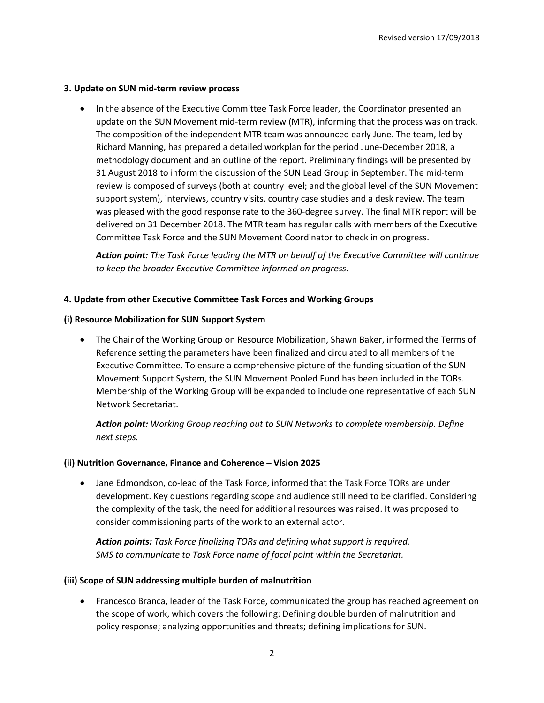#### **3. Update on SUN mid-term review process**

• In the absence of the Executive Committee Task Force leader, the Coordinator presented an update on the SUN Movement mid-term review (MTR), informing that the process was on track. The composition of the independent MTR team was announced early June. The team, led by Richard Manning, has prepared a detailed workplan for the period June-December 2018, a methodology document and an outline of the report. Preliminary findings will be presented by 31 August 2018 to inform the discussion of the SUN Lead Group in September. The mid-term review is composed of surveys (both at country level; and the global level of the [SUN Movement](http://scalingupnutrition.org/sun-supporters/how-is-the-movement-supported/)  [support system\)](http://scalingupnutrition.org/sun-supporters/how-is-the-movement-supported/), interviews, country visits, country case studies and a desk review. The team was pleased with the good response rate to the 360-degree survey. The final MTR report will be delivered on 31 December 2018. The MTR team has regular calls with members of the Executive Committee Task Force and the SUN Movement Coordinator to check in on progress.

*Action point: The Task Force leading the MTR on behalf of the Executive Committee will continue to keep the broader Executive Committee informed on progress.* 

## **4. Update from other Executive Committee Task Forces and Working Groups**

#### **(i) Resource Mobilization for SUN Support System**

• The Chair of the Working Group on Resource Mobilization, Shawn Baker, informed the Terms of Reference setting the parameters have been finalized and circulated to all members of the Executive Committee. To ensure a comprehensive picture of the funding situation of the SUN Movement Support System, the SUN Movement Pooled Fund has been included in the TORs. Membership of the Working Group will be expanded to include one representative of each SUN Network Secretariat.

*Action point: Working Group reaching out to SUN Networks to complete membership. Define next steps.* 

## **(ii) Nutrition Governance, Finance and Coherence – Vision 2025**

• Jane Edmondson, co-lead of the Task Force, informed that the Task Force TORs are under development. Key questions regarding scope and audience still need to be clarified. Considering the complexity of the task, the need for additional resources was raised. It was proposed to consider commissioning parts of the work to an external actor.

*Action points: Task Force finalizing TORs and defining what support is required. SMS to communicate to Task Force name of focal point within the Secretariat.* 

## **(iii) Scope of SUN addressing multiple burden of malnutrition**

• Francesco Branca, leader of the Task Force, communicated the group has reached agreement on the scope of work, which covers the following: Defining double burden of malnutrition and policy response; analyzing opportunities and threats; defining implications for SUN.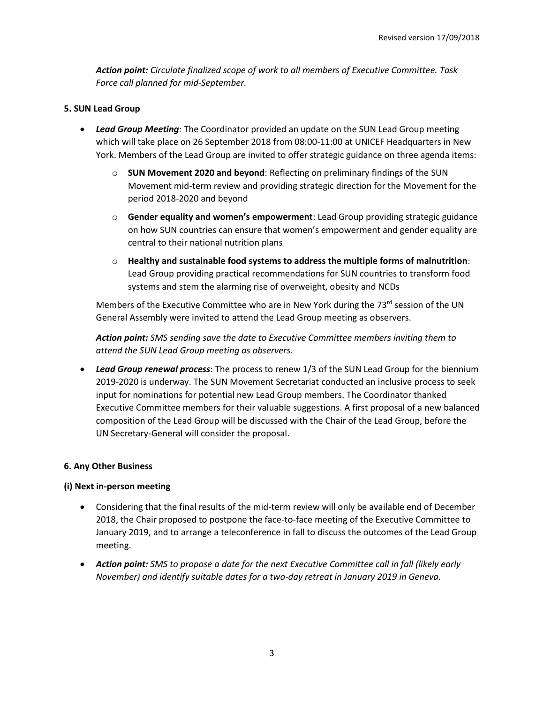*Action point: Circulate finalized scope of work to all members of Executive Committee. Task Force call planned for mid-September.* 

## **5. SUN Lead Group**

- *Lead Group Meeting:* The Coordinator provided an update on the SUN Lead Group meeting which will take place on 26 September 2018 from 08:00-11:00 at UNICEF Headquarters in New York. Members of the Lead Group are invited to offer strategic guidance on three agenda items:
	- o **SUN Movement 2020 and beyond**: Reflecting on preliminary findings of the SUN Movement mid-term review and providing strategic direction for the Movement for the period 2018-2020 and beyond
	- o **Gender equality and women's empowerment**: Lead Group providing strategic guidance on how SUN countries can ensure that women's empowerment and gender equality are central to their national nutrition plans
	- o **Healthy and sustainable food systems to address the multiple forms of malnutrition**: Lead Group providing practical recommendations for SUN countries to transform food systems and stem the alarming rise of overweight, obesity and NCDs

Members of the Executive Committee who are in New York during the  $73<sup>rd</sup>$  session of the UN General Assembly were invited to attend the Lead Group meeting as observers.

*Action point: SMS sending save the date to Executive Committee members inviting them to attend the SUN Lead Group meeting as observers.* 

• *Lead Group renewal process*: The process to renew 1/3 of the SUN Lead Group for the biennium 2019-2020 is underway. The SUN Movement Secretariat conducted an inclusive process to seek input for nominations for potential new Lead Group members. The Coordinator thanked Executive Committee members for their valuable suggestions. A first proposal of a new balanced composition of the Lead Group will be discussed with the Chair of the Lead Group, before the UN Secretary-General will consider the proposal.

## **6. Any Other Business**

# **(i) Next in-person meeting**

- Considering that the final results of the mid-term review will only be available end of December 2018, the Chair proposed to postpone the face-to-face meeting of the Executive Committee to January 2019, and to arrange a teleconference in fall to discuss the outcomes of the Lead Group meeting.
- *Action point: SMS to propose a date for the next Executive Committee call in fall (likely early November) and identify suitable dates for a two-day retreat in January 2019 in Geneva.*